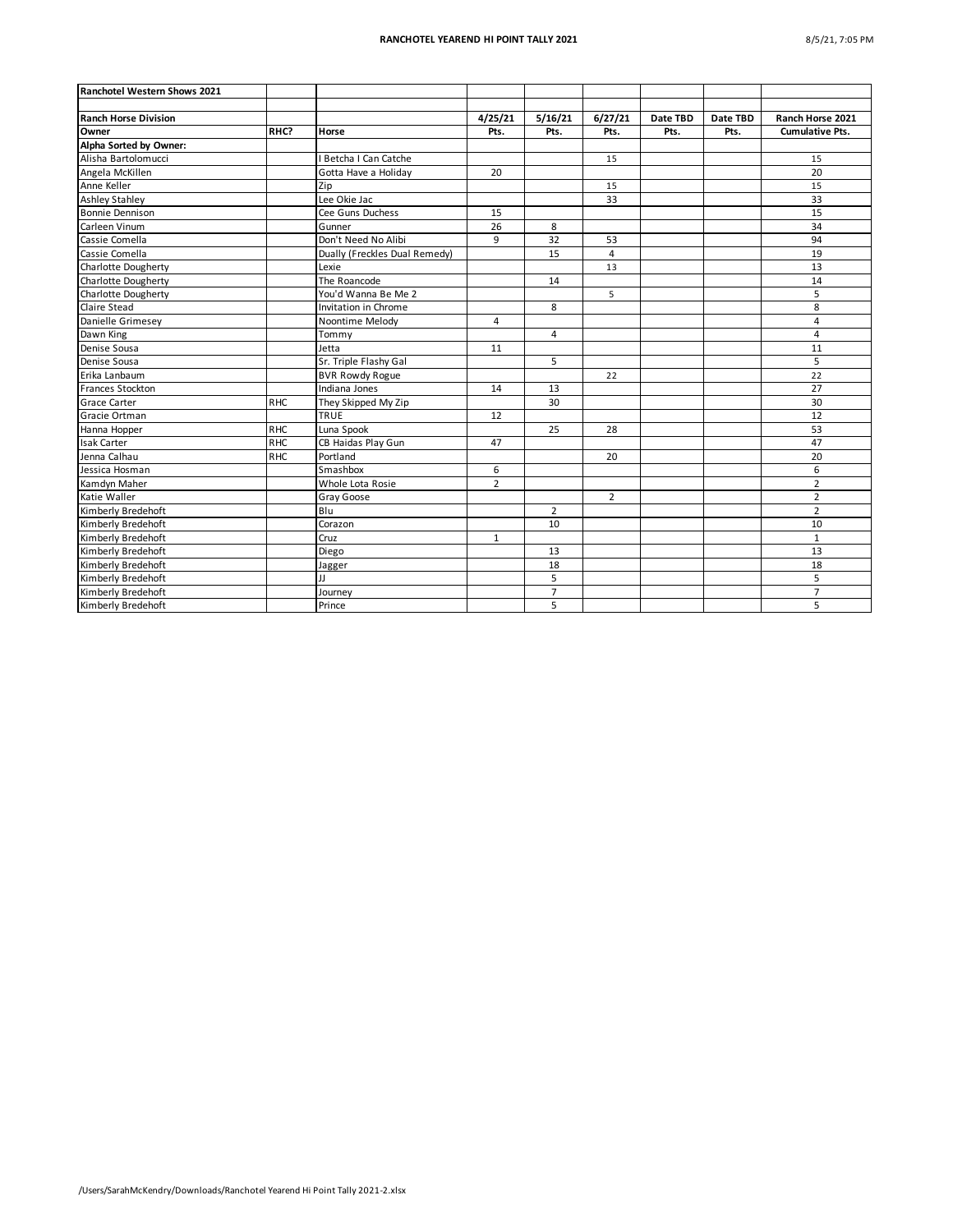| Ranchotel Western Shows 2021 |                 |                               |                |                |                |          |          |                        |
|------------------------------|-----------------|-------------------------------|----------------|----------------|----------------|----------|----------|------------------------|
|                              |                 |                               |                |                |                |          |          |                        |
| <b>Ranch Horse Division</b>  |                 |                               | 4/25/21        | 5/16/21        | 6/27/21        | Date TBD | Date TBD | Ranch Horse 2021       |
| Owner                        | RHC?            | Horse                         | Pts.           | Pts.           | Pts.           | Pts.     | Pts.     | <b>Cumulative Pts.</b> |
| Alpha Sorted by Owner:       |                 |                               |                |                |                |          |          |                        |
| Alisha Bartolomucci          |                 | I Betcha I Can Catche         |                |                | 15             |          |          | 15                     |
| Angela McKillen              |                 | Gotta Have a Holiday          | 20             |                |                |          |          | 20                     |
| Anne Keller                  |                 | Zip                           |                |                | 15             |          |          | 15                     |
| <b>Ashley Stahley</b>        |                 | Lee Okie Jac                  |                |                | 33             |          |          | 33                     |
| <b>Bonnie Dennison</b>       |                 | Cee Guns Duchess              | 15             |                |                |          |          | 15                     |
| Carleen Vinum                |                 | Gunner                        | 26             | 8              |                |          |          | $\overline{34}$        |
| Cassie Comella               |                 | Don't Need No Alibi           | 9              | 32             | 53             |          |          | 94                     |
| Cassie Comella               |                 | Dually (Freckles Dual Remedy) |                | 15             | 4              |          |          | 19                     |
| Charlotte Dougherty          |                 | Lexie                         |                |                | 13             |          |          | 13                     |
| Charlotte Dougherty          |                 | The Roancode                  |                | 14             |                |          |          | 14                     |
| Charlotte Dougherty          |                 | You'd Wanna Be Me 2           |                |                | 5              |          |          | 5                      |
| Claire Stead                 |                 | Invitation in Chrome          |                | 8              |                |          |          | 8                      |
| Danielle Grimesey            |                 | Noontime Melody               | 4              |                |                |          |          | $\overline{4}$         |
| Dawn King                    |                 | Tommy                         |                | $\overline{4}$ |                |          |          | $\overline{4}$         |
| Denise Sousa                 |                 | Jetta                         | 11             |                |                |          |          | 11                     |
| Denise Sousa                 |                 | Sr. Triple Flashy Gal         |                | 5              |                |          |          | 5                      |
| Erika Lanbaum                |                 | <b>BVR Rowdy Rogue</b>        |                |                | 22             |          |          | 22                     |
| Frances Stockton             |                 | Indiana Jones                 | 14             | 13             |                |          |          | 27                     |
| <b>Grace Carter</b>          | R <sub>HC</sub> | They Skipped My Zip           |                | 30             |                |          |          | 30                     |
| Gracie Ortman                |                 | <b>TRUE</b>                   | 12             |                |                |          |          | 12                     |
| Hanna Hopper                 | <b>RHC</b>      | Luna Spook                    |                | 25             | 28             |          |          | 53                     |
| <b>Isak Carter</b>           | <b>RHC</b>      | CB Haidas Play Gun            | 47             |                |                |          |          | 47                     |
| Jenna Calhau                 | <b>RHC</b>      | Portland                      |                |                | 20             |          |          | 20                     |
| Jessica Hosman               |                 | Smashbox                      | 6              |                |                |          |          | 6                      |
| Kamdyn Maher                 |                 | Whole Lota Rosie              | $\overline{2}$ |                |                |          |          | $\overline{2}$         |
| Katie Waller                 |                 | Gray Goose                    |                |                | $\overline{2}$ |          |          | $\overline{2}$         |
| Kimberly Bredehoft           |                 | Blu                           |                | $\overline{2}$ |                |          |          | $\overline{2}$         |
| Kimberly Bredehoft           |                 | Corazon                       |                | 10             |                |          |          | 10                     |
| Kimberly Bredehoft           |                 | Cruz                          | $\mathbf{1}$   |                |                |          |          | $\mathbf{1}$           |
| Kimberly Bredehoft           |                 | Diego                         |                | 13             |                |          |          | 13                     |
| Kimberly Bredehoft           |                 | Jagger                        |                | 18             |                |          |          | 18                     |
| Kimberly Bredehoft           |                 | IJ                            |                | $\overline{5}$ |                |          |          | 5                      |
| Kimberly Bredehoft           |                 | Journey                       |                | $\overline{7}$ |                |          |          | $\overline{7}$         |
| Kimberly Bredehoft           |                 | Prince                        |                | 5              |                |          |          | 5                      |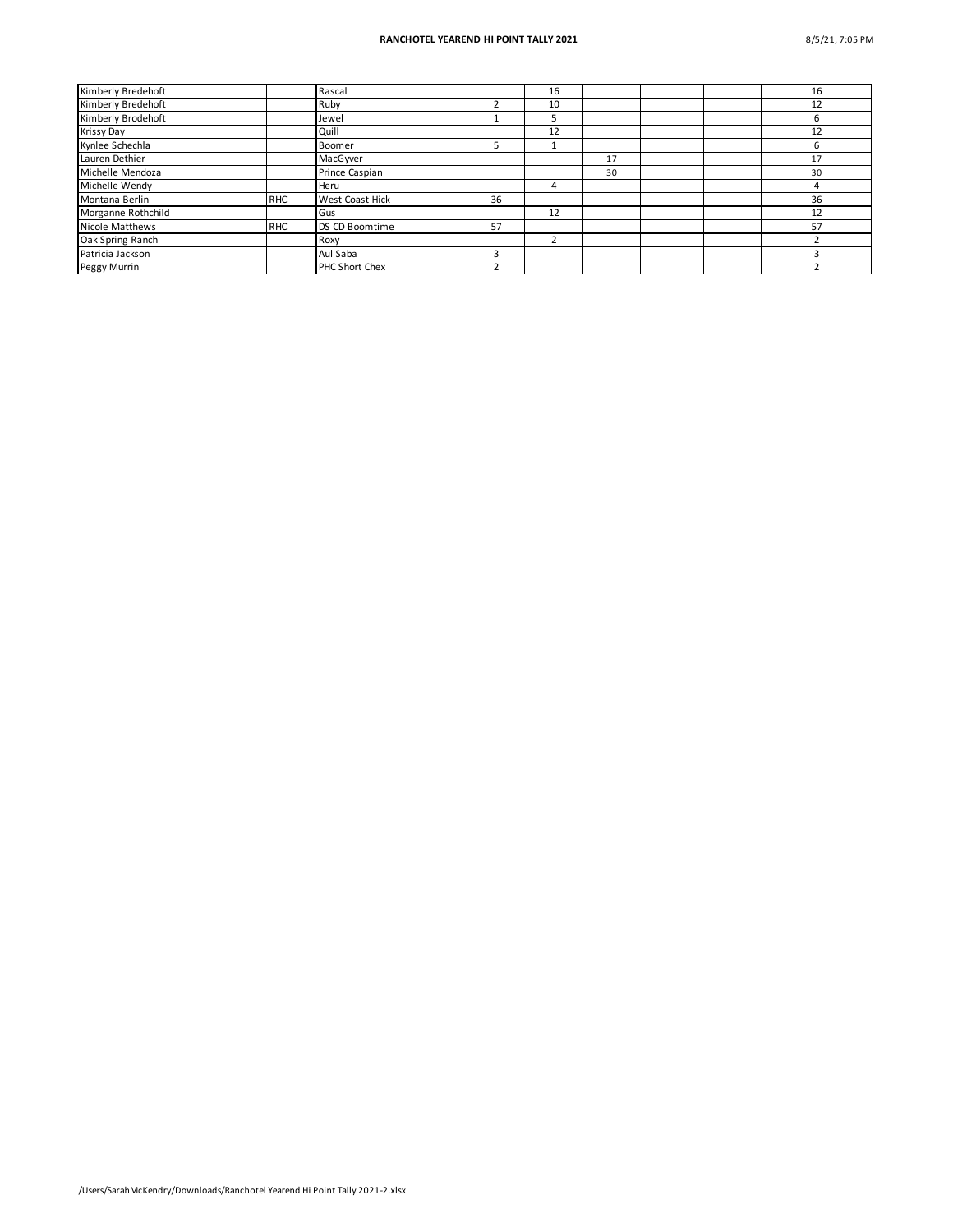## **RANCHOTEL YEAREND HI POINT TALLY 2021** 8/5/21, 7:05 PM

| Kimberly Bredehoft |            | Rascal          |    | 16 |    |  | 16 |
|--------------------|------------|-----------------|----|----|----|--|----|
| Kimberly Bredehoft |            | Ruby            |    | 10 |    |  | 12 |
| Kimberly Brodehoft |            | Jewel           |    |    |    |  | h  |
| Krissy Day         |            | Quill           |    | 12 |    |  | 12 |
| Kynlee Schechla    |            | Boomer          |    |    |    |  | 6  |
| Lauren Dethier     |            | MacGwer         |    |    | 17 |  | 17 |
| Michelle Mendoza   |            | Prince Caspian  |    |    | 30 |  | 30 |
| Michelle Wendy     |            | Heru            |    | 4  |    |  |    |
| Montana Berlin     | <b>RHC</b> | West Coast Hick | 36 |    |    |  | 36 |
| Morganne Rothchild |            | Gus             |    | 12 |    |  | 12 |
| Nicole Matthews    | <b>RHC</b> | DS CD Boomtime  | 57 |    |    |  | 57 |
| Oak Spring Ranch   |            | Roxy            |    |    |    |  |    |
| Patricia Jackson   |            | Aul Saba        | ς  |    |    |  |    |
| Peggy Murrin       |            | PHC Short Chex  |    |    |    |  |    |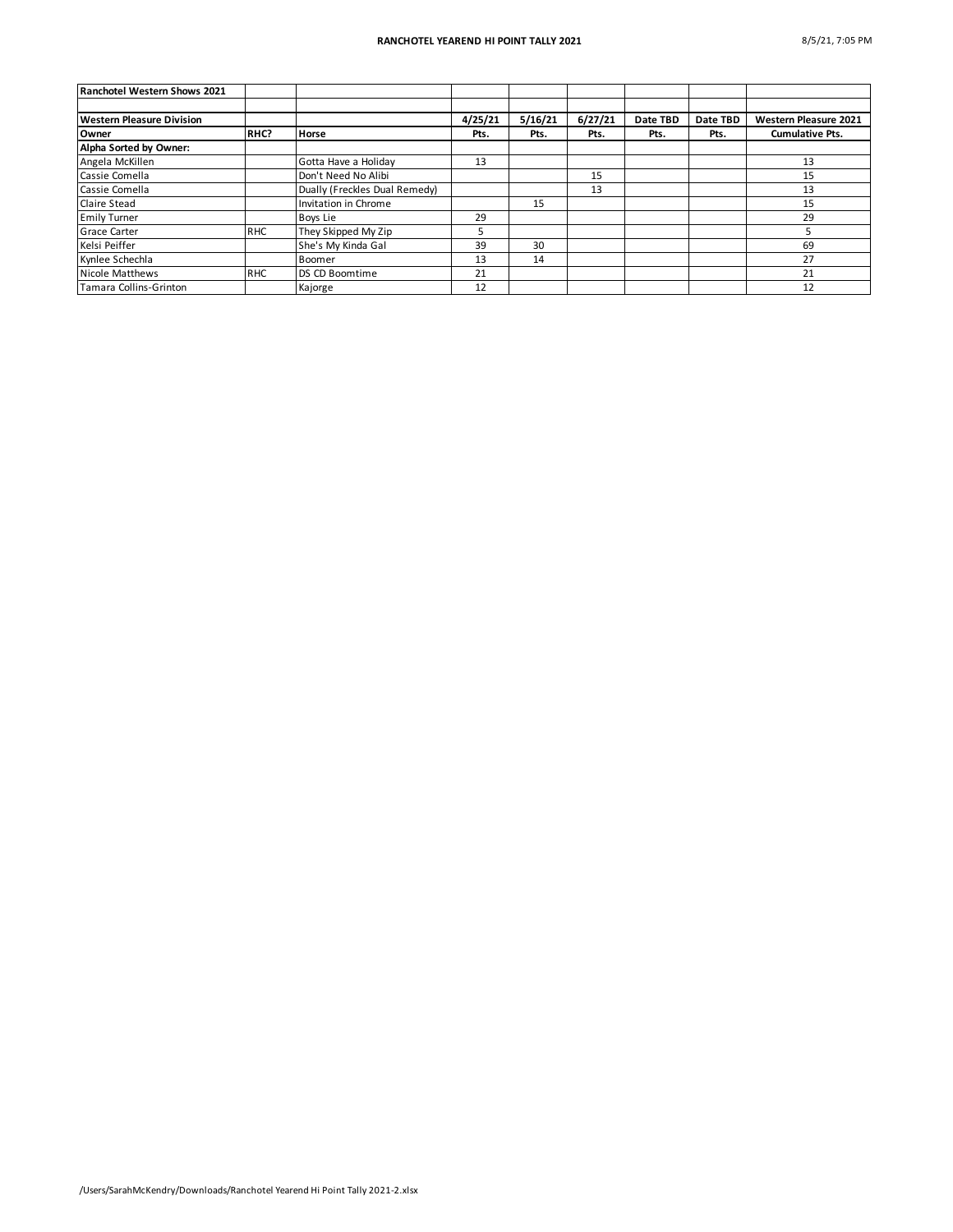| Ranchotel Western Shows 2021     |            |                               |         |         |         |          |          |                              |
|----------------------------------|------------|-------------------------------|---------|---------|---------|----------|----------|------------------------------|
|                                  |            |                               |         |         |         |          |          |                              |
| <b>Western Pleasure Division</b> |            |                               | 4/25/21 | 5/16/21 | 6/27/21 | Date TBD | Date TBD | <b>Western Pleasure 2021</b> |
| <b>Owner</b>                     | RHC?       | <b>Horse</b>                  | Pts.    | Pts.    | Pts.    | Pts.     | Pts.     | <b>Cumulative Pts.</b>       |
| Alpha Sorted by Owner:           |            |                               |         |         |         |          |          |                              |
| Angela McKillen                  |            | Gotta Have a Holiday          | 13      |         |         |          |          | 13                           |
| Cassie Comella                   |            | Don't Need No Alibi           |         |         | 15      |          |          | 15                           |
| Cassie Comella                   |            | Dually (Freckles Dual Remedy) |         |         | 13      |          |          | 13                           |
| <b>Claire Stead</b>              |            | Invitation in Chrome          |         | 15      |         |          |          | 15                           |
| <b>Emily Turner</b>              |            | Boys Lie                      | 29      |         |         |          |          | 29                           |
| <b>Grace Carter</b>              | <b>RHC</b> | They Skipped My Zip           |         |         |         |          |          |                              |
| Kelsi Peiffer                    |            | She's My Kinda Gal            | 39      | 30      |         |          |          | 69                           |
| Kynlee Schechla                  |            | Boomer                        | 13      | 14      |         |          |          | 27                           |
| Nicole Matthews                  | <b>RHC</b> | DS CD Boomtime                | 21      |         |         |          |          | 21                           |
| Tamara Collins-Grinton           |            | Kajorge                       | 12      |         |         |          |          | 12                           |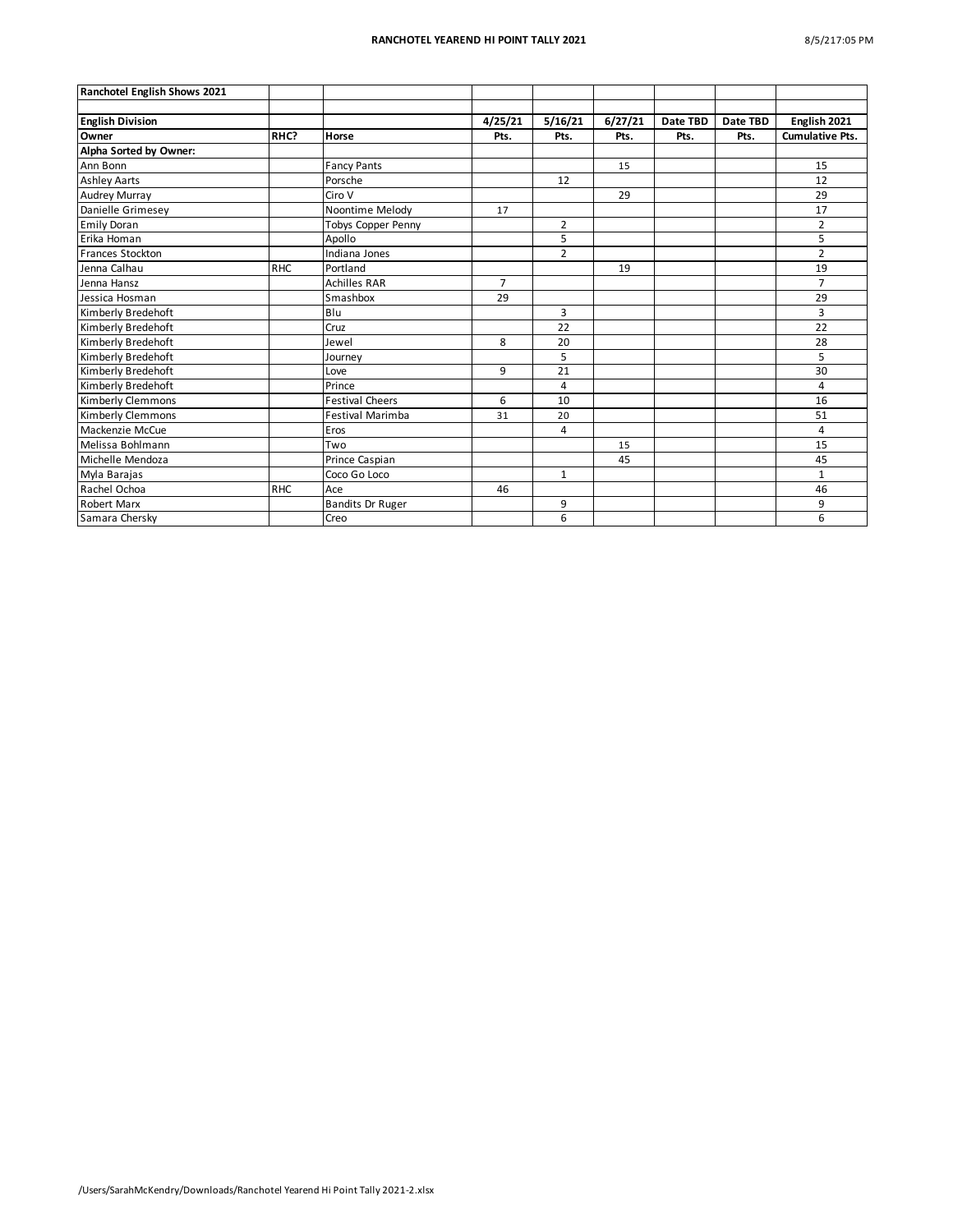| Ranchotel English Shows 2021 |            |                         |                |                |         |          |          |                        |
|------------------------------|------------|-------------------------|----------------|----------------|---------|----------|----------|------------------------|
|                              |            |                         |                |                |         |          |          |                        |
| <b>English Division</b>      |            |                         | 4/25/21        | 5/16/21        | 6/27/21 | Date TBD | Date TBD | English 2021           |
| Owner                        | RHC?       | Horse                   | Pts.           | Pts.           | Pts.    | Pts.     | Pts.     | <b>Cumulative Pts.</b> |
| Alpha Sorted by Owner:       |            |                         |                |                |         |          |          |                        |
| Ann Bonn                     |            | <b>Fancy Pants</b>      |                |                | 15      |          |          | 15                     |
| <b>Ashley Aarts</b>          |            | Porsche                 |                | 12             |         |          |          | 12                     |
| <b>Audrey Murray</b>         |            | Ciro V                  |                |                | 29      |          |          | 29                     |
| Danielle Grimesey            |            | Noontime Melody         | 17             |                |         |          |          | 17                     |
| <b>Emily Doran</b>           |            | Tobys Copper Penny      |                | $\overline{2}$ |         |          |          | $\overline{2}$         |
| Erika Homan                  |            | Apollo                  |                | 5              |         |          |          | 5                      |
| <b>Frances Stockton</b>      |            | Indiana Jones           |                | $\overline{2}$ |         |          |          | $\overline{2}$         |
| Jenna Calhau                 | <b>RHC</b> | Portland                |                |                | 19      |          |          | 19                     |
| Jenna Hansz                  |            | <b>Achilles RAR</b>     | $\overline{7}$ |                |         |          |          | $\overline{7}$         |
| Jessica Hosman               |            | Smashbox                | 29             |                |         |          |          | 29                     |
| Kimberly Bredehoft           |            | Blu                     |                | 3              |         |          |          | 3                      |
| Kimberly Bredehoft           |            | Cruz                    |                | 22             |         |          |          | 22                     |
| Kimberly Bredehoft           |            | Jewel                   | 8              | 20             |         |          |          | 28                     |
| Kimberly Bredehoft           |            | Journey                 |                | 5              |         |          |          | 5                      |
| Kimberly Bredehoft           |            | Love                    | 9              | 21             |         |          |          | 30                     |
| Kimberly Bredehoft           |            | Prince                  |                | 4              |         |          |          | 4                      |
| Kimberly Clemmons            |            | <b>Festival Cheers</b>  | 6              | 10             |         |          |          | 16                     |
| Kimberly Clemmons            |            | <b>Festival Marimba</b> | 31             | 20             |         |          |          | 51                     |
| Mackenzie McCue              |            | Eros                    |                | 4              |         |          |          | 4                      |
| Melissa Bohlmann             |            | Two                     |                |                | 15      |          |          | 15                     |
| Michelle Mendoza             |            | Prince Caspian          |                |                | 45      |          |          | 45                     |
| Myla Barajas                 |            | Coco Go Loco            |                | $\mathbf{1}$   |         |          |          | $\mathbf{1}$           |
| Rachel Ochoa                 | <b>RHC</b> | Ace                     | 46             |                |         |          |          | 46                     |
| <b>Robert Marx</b>           |            | <b>Bandits Dr Ruger</b> |                | 9              |         |          |          | 9                      |
| Samara Chersky               |            | Creo                    |                | 6              |         |          |          | 6                      |